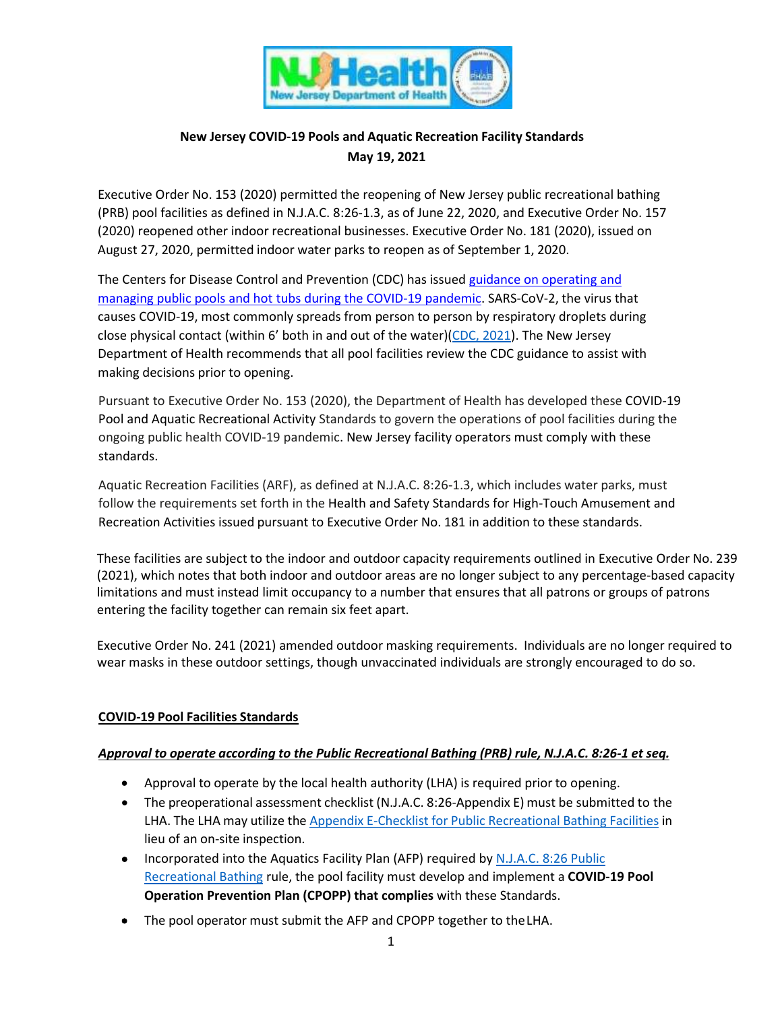

# **New Jersey COVID-19 Pools and Aquatic Recreation Facility Standards May 19, 2021**

Executive Order No. 153 (2020) permitted the reopening of New Jersey public recreational bathing (PRB) pool facilities as defined in N.J.A.C. 8:26-1.3, as of June 22, 2020, and Executive Order No. 157 (2020) reopened other indoor recreational businesses. Executive Order No. 181 (2020), issued on August 27, 2020, permitted indoor water parks to reopen as of September 1, 2020.

The Centers for Disease Control and Prevention (CDC) has issued [guidance on operating and](https://www.cdc.gov/coronavirus/2019-ncov/community/parks-rec/aquatic-venues.html) [managing public pools and hot tubs during the COVID-19 pandemic.](https://www.cdc.gov/coronavirus/2019-ncov/community/parks-rec/aquatic-venues.html) SARS-CoV-2, the virus that causes COVID-19, most commonly spreads from person to person by respiratory droplets during close physical contact (within 6' both in and out of the water)[\(CDC, 2021\)](https://www.cdc.gov/coronavirus/2019-ncov/community/parks-rec/amusement-park-carnival.html#print). The New Jersey Department of Health recommends that all pool facilities review the CDC guidance to assist with making decisions prior to opening.

Pursuant to Executive Order No. 153 (2020), the Department of Health has developed these COVID-19 Pool and Aquatic Recreational Activity Standards to govern the operations of pool facilities during the ongoing public health COVID-19 pandemic. New Jersey facility operators must comply with these standards.

Aquatic Recreation Facilities (ARF), as defined at N.J.A.C. 8:26-1.3, which includes water parks, must follow the requirements set forth in the Health and Safety Standards for High-Touch Amusement and Recreation Activities issued pursuant to Executive Order No. 181 in addition to these standards.

These facilities are subject to the indoor and outdoor capacity requirements outlined in Executive Order No. 239 (2021), which notes that both indoor and outdoor areas are no longer subject to any percentage-based capacity limitations and must instead limit occupancy to a number that ensures that all patrons or groups of patrons entering the facility together can remain six feet apart.

Executive Order No. 241 (2021) amended outdoor masking requirements. Individuals are no longer required to wear masks in these outdoor settings, though unvaccinated individuals are strongly encouraged to do so.

# **COVID-19 Pool Facilities Standards**

# *Approval to operate according to the Public Recreational Bathing (PRB) rule, N.J.A.C. 8:26-1 et seq.*

- Approval to operate by the local health authority (LHA) is required prior to opening.
- The preoperational assessment checklist (N.J.A.C. 8:26-Appendix E) must be submitted to the LHA. The LHA may utilize the Appendix E-Checklist for Public [Recreational](https://www.nj.gov/health/ceohs/documents/phss/PRB_Checklist.pdf) Bathing Facilities in lieu of an on-site inspection.
- Incorporated into the Aquatics Facility Plan (AFP) required by [N.J.A.C. 8:26 Public](https://nj.gov/health/ceohs/documents/phss/recbathing.pdf) [Recreational Bathing](https://nj.gov/health/ceohs/documents/phss/recbathing.pdf) rule, the pool facility must develop and implement a **COVID-19 Pool Operation Prevention Plan (CPOPP) that complies** with these Standards.
- The pool operator must submit the AFP and CPOPP together to the LHA.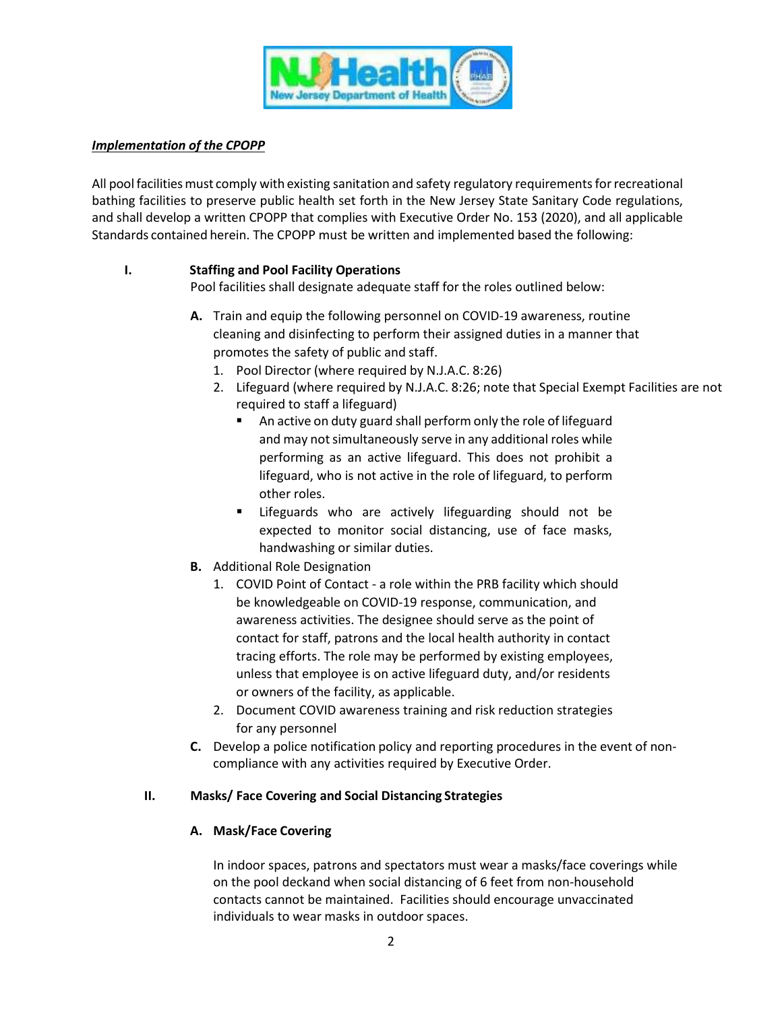

### *Implementation of the CPOPP*

All pool facilities must comply with existing sanitation and safety regulatory requirements for recreational bathing facilities to preserve public health set forth in the New Jersey State Sanitary Code regulations, and shall develop a written CPOPP that complies with Executive Order No. 153 (2020), and all applicable Standards contained herein. The CPOPP must be written and implemented based the following:

# **I. Staffing and Pool Facility Operations**

Pool facilities shall designate adequate staff for the roles outlined below:

- **A.** Train and equip the following personnel on COVID-19 awareness, routine cleaning and disinfecting to perform their assigned duties in a manner that promotes the safety of public and staff.
	- 1. Pool Director (where required by N.J.A.C. 8:26)
	- 2. Lifeguard (where required by N.J.A.C. 8:26; note that Special Exempt Facilities are not required to staff a lifeguard)
		- An active on duty guard shall perform only the role of lifeguard and may not simultaneously serve in any additional roles while performing as an active lifeguard. This does not prohibit a lifeguard, who is not active in the role of lifeguard, to perform other roles.
		- **EXTERUARY ENDIST Lifeguarding should not be** expected to monitor social distancing, use of face masks, handwashing or similar duties.
- **B.** Additional Role Designation
	- 1. COVID Point of Contact a role within the PRB facility which should be knowledgeable on COVID-19 response, communication, and awareness activities. The designee should serve as the point of contact for staff, patrons and the local health authority in contact tracing efforts. The role may be performed by existing employees, unless that employee is on active lifeguard duty, and/or residents or owners of the facility, as applicable.
	- 2. Document COVID awareness training and risk reduction strategies for any personnel
- **C.** Develop a police notification policy and reporting procedures in the event of noncompliance with any activities required by Executive Order.

# **II. Masks/ Face Covering and Social Distancing Strategies**

# **A. Mask/Face Covering**

In indoor spaces, patrons and spectators must wear a masks/face coverings while on the pool deckand when social distancing of 6 feet from non-household contacts cannot be maintained. Facilities should encourage unvaccinated individuals to wear masks in outdoor spaces.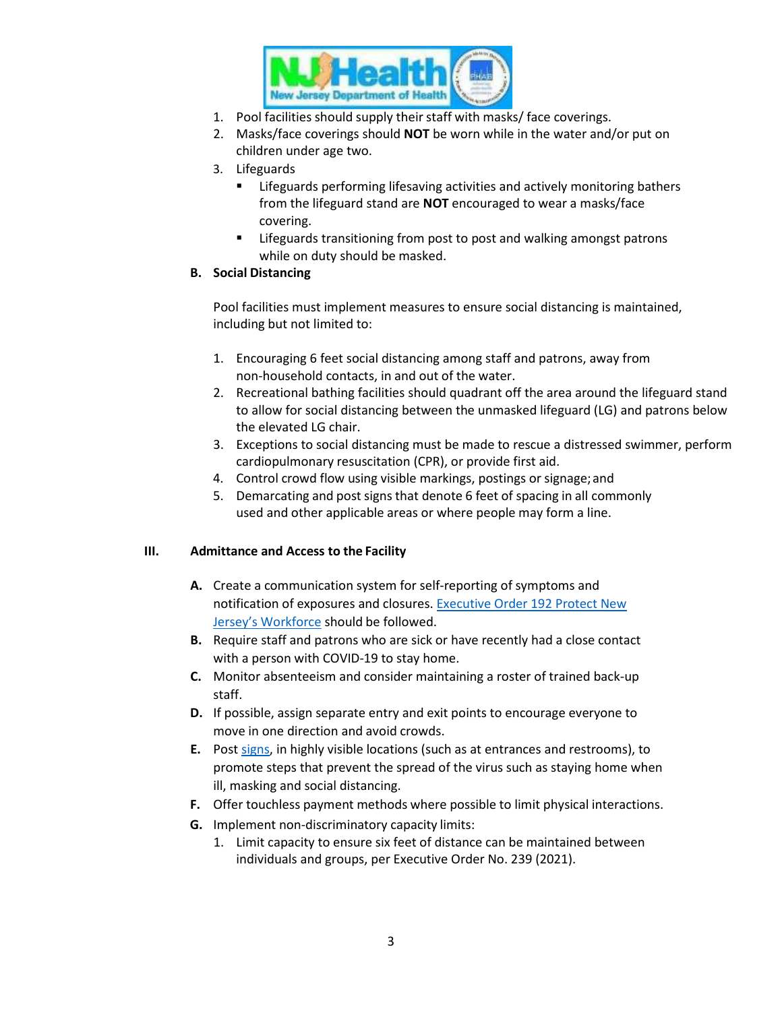

- 1. Pool facilities should supply their staff with masks/ face coverings.
- 2. Masks/face coverings should **NOT** be worn while in the water and/or put on children under age two.
- 3. Lifeguards
	- **EXECT Lifeguards performing lifesaving activities and actively monitoring bathers** from the lifeguard stand are **NOT** encouraged to wear a masks/face covering.
	- **EXECT** Lifeguards transitioning from post to post and walking amongst patrons while on duty should be masked.

### **B. Social Distancing**

Pool facilities must implement measures to ensure social distancing is maintained, including but not limited to:

- 1. Encouraging 6 feet social distancing among staff and patrons, away from non-household contacts, in and out of the water.
- 2. Recreational bathing facilities should quadrant off the area around the lifeguard stand to allow for social distancing between the unmasked lifeguard (LG) and patrons below the elevated LG chair.
- 3. Exceptions to social distancing must be made to rescue a distressed swimmer, perform cardiopulmonary resuscitation (CPR), or provide first aid.
- 4. Control crowd flow using visible markings, postings or signage;and
- 5. Demarcating and post signs that denote 6 feet of spacing in all commonly used and other applicable areas or where people may form a line.

# **III. Admittance and Access to the Facility**

- **A.** Create a communication system for self-reporting of symptoms and notification of exposures and closures. [Executive Order 192 Protect New](https://nj.gov/infobank/eo/056murphy/pdf/EO-192.pdf) Jersey's [Workforce](https://nj.gov/infobank/eo/056murphy/pdf/EO-192.pdf) should be followed.
- **B.** Require staff and patrons who are sick or have recently had a close contact with a person with COVID-19 to stay home.
- **C.** Monitor absenteeism and consider maintaining a roster of trained back-up staff.
- **D.** If possible, assign separate entry and exit points to encourage everyone to move in one direction and avoid crowds.
- **E.** Post [signs, in](https://www.cdc.gov/coronavirus/2019-ncov/communication/print-resources.html?Sort=Date%3A%3Adesc) highly visible locations (such as at entrances and restrooms), to promote steps that prevent the spread of the virus such as staying home when ill, masking and social distancing.
- **F.** Offer touchless payment methods where possible to limit physical interactions.
- **G.** Implement non-discriminatory capacity limits:
	- 1. Limit capacity to ensure six feet of distance can be maintained between individuals and groups, per Executive Order No. 239 (2021).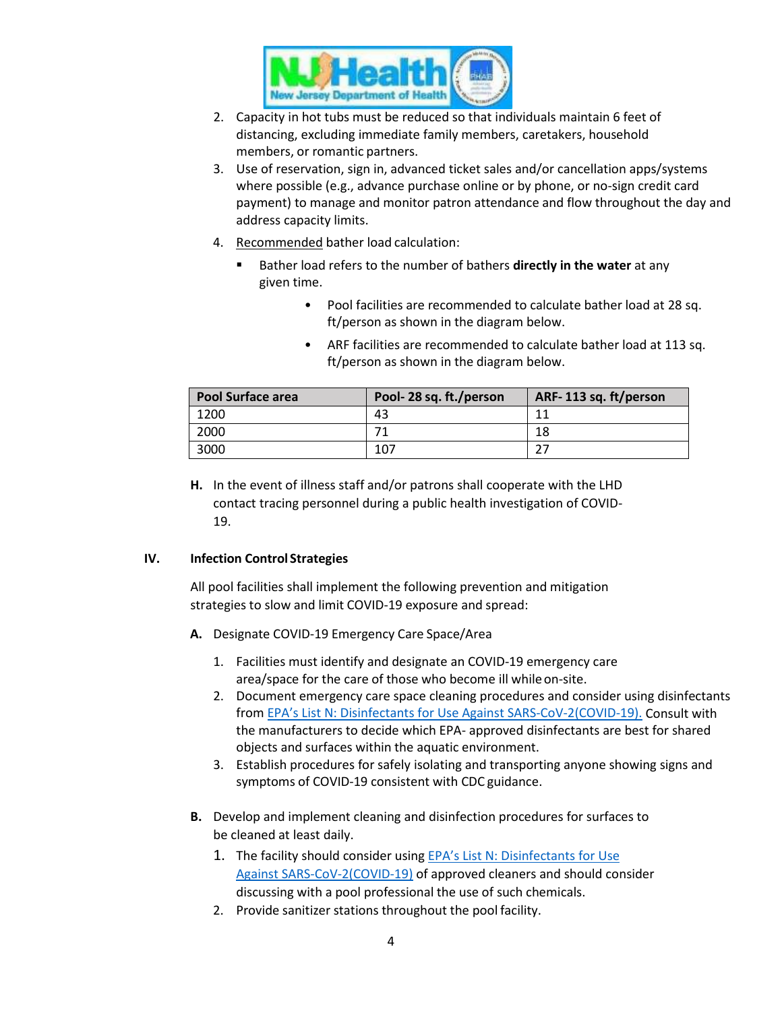

- 2. Capacity in hot tubs must be reduced so that individuals maintain 6 feet of distancing, excluding immediate family members, caretakers, household members, or romantic partners.
- 3. Use of reservation, sign in, advanced ticket sales and/or cancellation apps/systems where possible (e.g., advance purchase online or by phone, or no-sign credit card payment) to manage and monitor patron attendance and flow throughout the day and address capacity limits.
- 4. Recommended bather load calculation:
	- Bather load refers to the number of bathers **directly in the water** at any given time.
		- Pool facilities are recommended to calculate bather load at 28 sq. ft/person as shown in the diagram below.
		- ARF facilities are recommended to calculate bather load at 113 sq. ft/person as shown in the diagram below.

| <b>Pool Surface area</b> | Pool-28 sq. ft./person | ARF-113 sq. ft/person |
|--------------------------|------------------------|-----------------------|
| 1200                     | 43                     | 11                    |
| 2000                     |                        | 18                    |
| 3000                     | 107                    |                       |

**H.** In the event of illness staff and/or patrons shall cooperate with the LHD contact tracing personnel during a public health investigation of COVID-19.

#### **IV. Infection Control Strategies**

All pool facilities shall implement the following prevention and mitigation strategies to slow and limit COVID-19 exposure and spread:

- **A.** Designate COVID-19 Emergency Care Space/Area
	- 1. Facilities must identify and designate an COVID-19 emergency care area/space for the care of those who become ill whileon-site.
	- 2. Document emergency care space cleaning procedures and consider using disinfectants from [EPA's List N: Disinfectants for Use Against SARS-CoV-2\(COVID-19\).](https://www.epa.gov/pesticide-registration/list-n-disinfectants-coronavirus-covid-19) Consult with the manufacturers to decide which EPA- approved disinfectants are best for shared objects and surfaces within the aquatic environment.
	- 3. Establish procedures for safely isolating and transporting anyone showing signs and symptoms of COVID-19 consistent with CDC guidance.
- **B.** Develop and implement cleaning and disinfection procedures for surfaces to be cleaned at least daily.
	- 1. The facility should consider using **[EPA's List N: Disinfectants for Use](https://www.epa.gov/pesticide-registration/list-n-disinfectants-coronavirus-covid-19)** [Against SARS-CoV-2\(COVID-19\)](https://www.epa.gov/pesticide-registration/list-n-disinfectants-coronavirus-covid-19) of approved cleaners and should consider discussing with a pool professional the use of such chemicals.
	- 2. Provide sanitizer stations throughout the pool facility.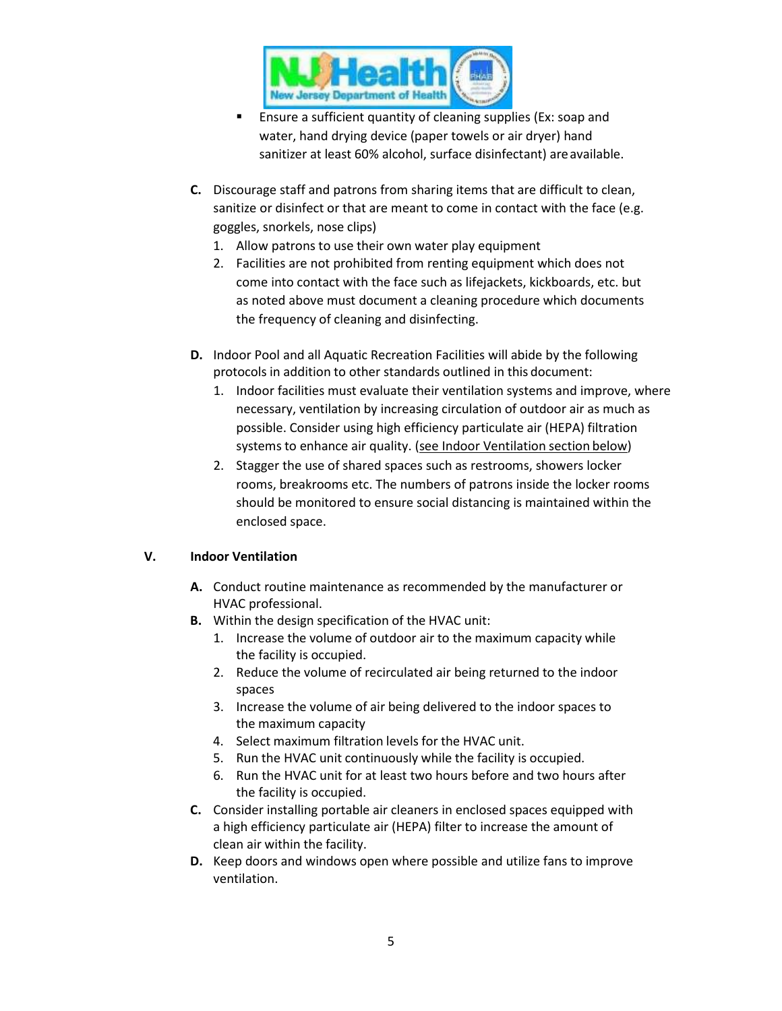

- **Ensure a sufficient quantity of cleaning supplies (Ex: soap and** water, hand drying device (paper towels or air dryer) hand sanitizer at least 60% alcohol, surface disinfectant) are available.
- **C.** Discourage staff and patrons from sharing items that are difficult to clean, sanitize or disinfect or that are meant to come in contact with the face (e.g. goggles, snorkels, nose clips)
	- 1. Allow patrons to use their own water play equipment
	- 2. Facilities are not prohibited from renting equipment which does not come into contact with the face such as lifejackets, kickboards, etc. but as noted above must document a cleaning procedure which documents the frequency of cleaning and disinfecting.
- **D.** Indoor Pool and all Aquatic Recreation Facilities will abide by the following protocols in addition to other standards outlined in this document:
	- 1. Indoor facilities must evaluate their ventilation systems and improve, where necessary, ventilation by increasing circulation of outdoor air as much as possible. Consider using high efficiency particulate air (HEPA) filtration systems to enhance air quality. (see Indoor Ventilation section below)
	- 2. Stagger the use of shared spaces such as restrooms, showers locker rooms, breakrooms etc. The numbers of patrons inside the locker rooms should be monitored to ensure social distancing is maintained within the enclosed space.

# **V. Indoor Ventilation**

- **A.** Conduct routine maintenance as recommended by the manufacturer or HVAC professional.
- **B.** Within the design specification of the HVAC unit:
	- 1. Increase the volume of outdoor air to the maximum capacity while the facility is occupied.
	- 2. Reduce the volume of recirculated air being returned to the indoor spaces
	- 3. Increase the volume of air being delivered to the indoor spaces to the maximum capacity
	- 4. Select maximum filtration levels for the HVAC unit.
	- 5. Run the HVAC unit continuously while the facility is occupied.
	- 6. Run the HVAC unit for at least two hours before and two hours after the facility is occupied.
- **C.** Consider installing portable air cleaners in enclosed spaces equipped with a high efficiency particulate air (HEPA) filter to increase the amount of clean air within the facility.
- **D.** Keep doors and windows open where possible and utilize fans to improve ventilation.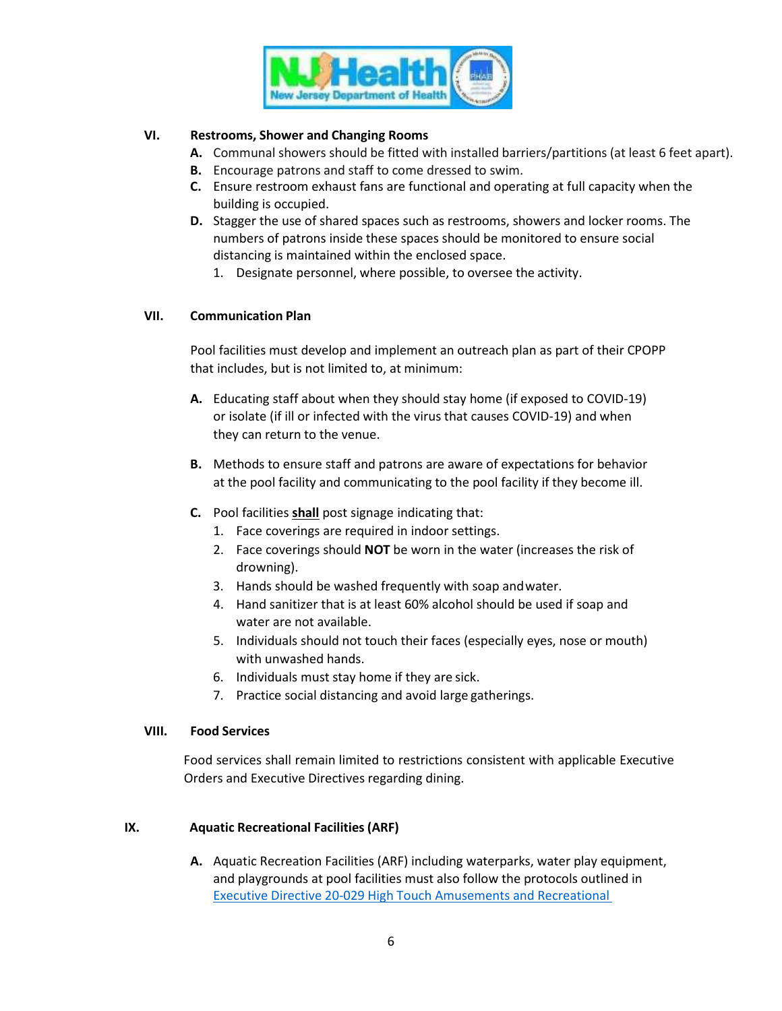

### **VI. Restrooms, Shower and Changing Rooms**

- **A.** Communal showers should be fitted with installed barriers/partitions (at least 6 feet apart).
- **B.** Encourage patrons and staff to come dressed to swim.
- **C.** Ensure restroom exhaust fans are functional and operating at full capacity when the building is occupied.
- **D.** Stagger the use of shared spaces such as restrooms, showers and locker rooms. The numbers of patrons inside these spaces should be monitored to ensure social distancing is maintained within the enclosed space.
	- 1. Designate personnel, where possible, to oversee the activity.

### **VII. Communication Plan**

Pool facilities must develop and implement an outreach plan as part of their CPOPP that includes, but is not limited to, at minimum:

- **A.** Educating staff about when they should stay home (if exposed to COVID-19) or isolate (if ill or infected with the virus that causes COVID-19) and when they can return to the venue.
- **B.** Methods to ensure staff and patrons are aware of expectations for behavior at the pool facility and communicating to the pool facility if they become ill.
- **C.** Pool facilities **shall** post signage indicating that:
	- 1. Face coverings are required in indoor settings.
	- 2. Face coverings should **NOT** be worn in the water (increases the risk of drowning).
	- 3. Hands should be washed frequently with soap andwater.
	- 4. Hand sanitizer that is at least 60% alcohol should be used if soap and water are not available.
	- 5. Individuals should not touch their faces (especially eyes, nose or mouth) with unwashed hands.
	- 6. Individuals must stay home if they are sick.
	- 7. Practice social distancing and avoid large gatherings.

#### **VIII. Food Services**

Food services shall remain limited to restrictions consistent with applicable Executive Orders and Executive Directives regarding dining.

#### **IX. Aquatic Recreational Facilities(ARF)**

**A.** Aquatic Recreation Facilities (ARF) including waterparks, water play equipment, and playgrounds at pool facilities must also follow the protocols outlined in Executive Directive 20-029 High Touch [Amusements](https://www.state.nj.us/health/legal/covid19/8-28-20_ExecutiveDirectiveNo20-029_Amusements.pdf) and Recreational